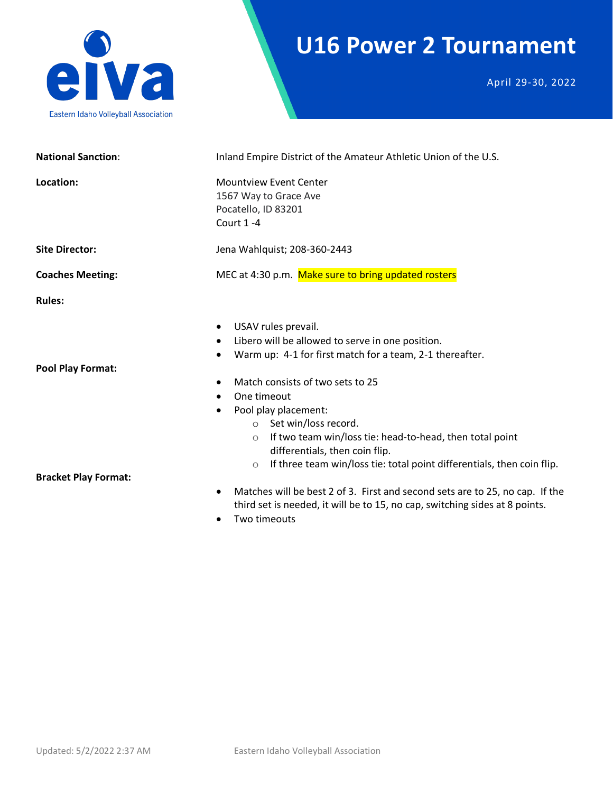

# **U16 Power 2 Tournament**

April 29-30, 2022

| <b>National Sanction:</b>   | Inland Empire District of the Amateur Athletic Union of the U.S.                                                                                                                                                                                                                                                                                                                                                                                                              |  |  |
|-----------------------------|-------------------------------------------------------------------------------------------------------------------------------------------------------------------------------------------------------------------------------------------------------------------------------------------------------------------------------------------------------------------------------------------------------------------------------------------------------------------------------|--|--|
| Location:                   | <b>Mountview Event Center</b><br>1567 Way to Grace Ave<br>Pocatello, ID 83201<br>Court 1-4                                                                                                                                                                                                                                                                                                                                                                                    |  |  |
| <b>Site Director:</b>       | Jena Wahlquist; 208-360-2443                                                                                                                                                                                                                                                                                                                                                                                                                                                  |  |  |
| <b>Coaches Meeting:</b>     | MEC at 4:30 p.m. Make sure to bring updated rosters                                                                                                                                                                                                                                                                                                                                                                                                                           |  |  |
| <b>Rules:</b>               |                                                                                                                                                                                                                                                                                                                                                                                                                                                                               |  |  |
| <b>Pool Play Format:</b>    | USAV rules prevail.<br>$\bullet$<br>Libero will be allowed to serve in one position.<br>$\bullet$<br>Warm up: 4-1 for first match for a team, 2-1 thereafter.<br>Match consists of two sets to 25<br>One timeout<br>$\bullet$<br>Pool play placement:<br>o Set win/loss record.<br>If two team win/loss tie: head-to-head, then total point<br>$\circ$<br>differentials, then coin flip.<br>If three team win/loss tie: total point differentials, then coin flip.<br>$\circ$ |  |  |
| <b>Bracket Play Format:</b> |                                                                                                                                                                                                                                                                                                                                                                                                                                                                               |  |  |
|                             | Matches will be best 2 of 3. First and second sets are to 25, no cap. If the<br>٠<br>third set is needed, it will be to 15, no cap, switching sides at 8 points.<br>Two timeouts<br>$\bullet$                                                                                                                                                                                                                                                                                 |  |  |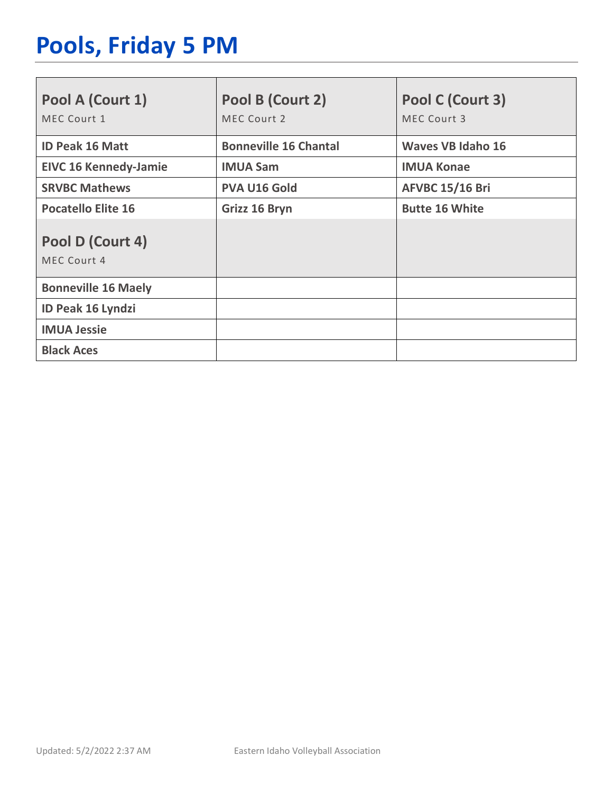# **Pools, Friday 5 PM**

| Pool A (Court 1)<br>MEC Court 1 | Pool B (Court 2)<br>MEC Court 2 | Pool C (Court 3)<br>MEC Court 3 |
|---------------------------------|---------------------------------|---------------------------------|
| <b>ID Peak 16 Matt</b>          | <b>Bonneville 16 Chantal</b>    | <b>Waves VB Idaho 16</b>        |
| <b>EIVC 16 Kennedy-Jamie</b>    | <b>IMUA Sam</b>                 | <b>IMUA Konae</b>               |
| <b>SRVBC Mathews</b>            | <b>PVA U16 Gold</b>             | <b>AFVBC 15/16 Bri</b>          |
| <b>Pocatello Elite 16</b>       | Grizz 16 Bryn                   | <b>Butte 16 White</b>           |
| Pool D (Court 4)<br>MEC Court 4 |                                 |                                 |
| <b>Bonneville 16 Maely</b>      |                                 |                                 |
| ID Peak 16 Lyndzi               |                                 |                                 |
| <b>IMUA Jessie</b>              |                                 |                                 |
| <b>Black Aces</b>               |                                 |                                 |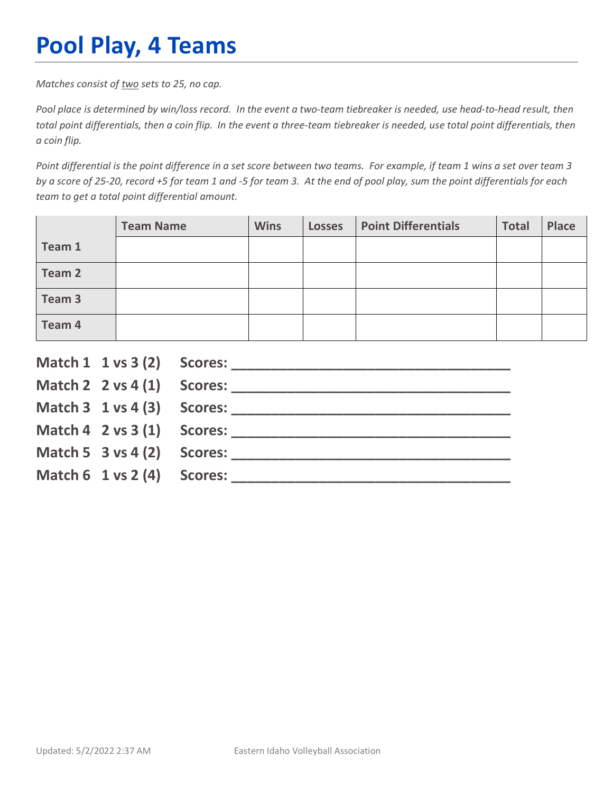# **Pool Play, 4 Teams**

*Matches consist of two sets to 25, no cap.*

*Pool place is determined by win/loss record. In the event a two-team tiebreaker is needed, use head-to-head result, then total point differentials, then a coin flip. In the event a three-team tiebreaker is needed, use total point differentials, then a coin flip.*

*Point differential is the point difference in a set score between two teams. For example, if team 1 wins a set over team 3 by a score of 25-20, record +5 for team 1 and -5 for team 3. At the end of pool play, sum the point differentials for each team to get a total point differential amount.* 

|        | <b>Team Name</b> | <b>Wins</b> | <b>Losses</b> | <b>Point Differentials</b> | <b>Total</b> | <b>Place</b> |
|--------|------------------|-------------|---------------|----------------------------|--------------|--------------|
| Team 1 |                  |             |               |                            |              |              |
| Team 2 |                  |             |               |                            |              |              |
| Team 3 |                  |             |               |                            |              |              |
| Team 4 |                  |             |               |                            |              |              |

|                                        | Match $2 \times 4(1)$ Scores:              |
|----------------------------------------|--------------------------------------------|
|                                        |                                            |
|                                        | Match $4 \quad 2 \text{ vs } 3(1)$ Scores: |
| Match 5 $3$ vs 4 (2) Scores:           |                                            |
| Match $6 \t1 \text{ vs } 2(4)$ Scores: |                                            |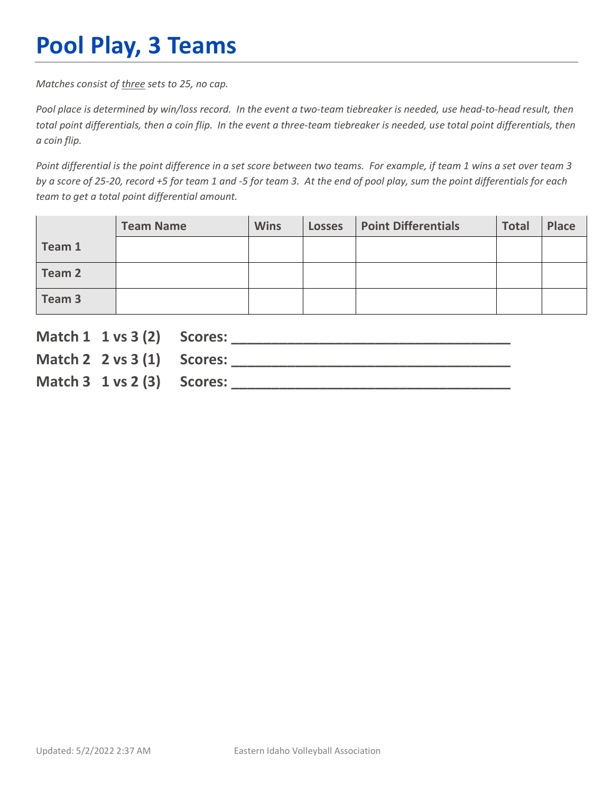# **Pool Play, 3 Teams**

*Matches consist of three sets to 25, no cap.*

*Pool place is determined by win/loss record. In the event a two-team tiebreaker is needed, use head-to-head result, then total point differentials, then a coin flip. In the event a three-team tiebreaker is needed, use total point differentials, then a coin flip.*

*Point differential is the point difference in a set score between two teams. For example, if team 1 wins a set over team 3 by a score of 25-20, record +5 for team 1 and -5 for team 3. At the end of pool play, sum the point differentials for each team to get a total point differential amount.* 

|        | <b>Team Name</b> | <b>Wins</b> | <b>Losses</b> | <b>Point Differentials</b> | <b>Total</b> | Place |
|--------|------------------|-------------|---------------|----------------------------|--------------|-------|
| Team 1 |                  |             |               |                            |              |       |
| Team 2 |                  |             |               |                            |              |       |
| Team 3 |                  |             |               |                            |              |       |

| Match 1 1 vs 3 (2) Scores:               |                               |
|------------------------------------------|-------------------------------|
|                                          | Match $2 \times 3(1)$ Scores: |
| Match $3 \t1 \text{ vs } 2 \t3)$ Scores: |                               |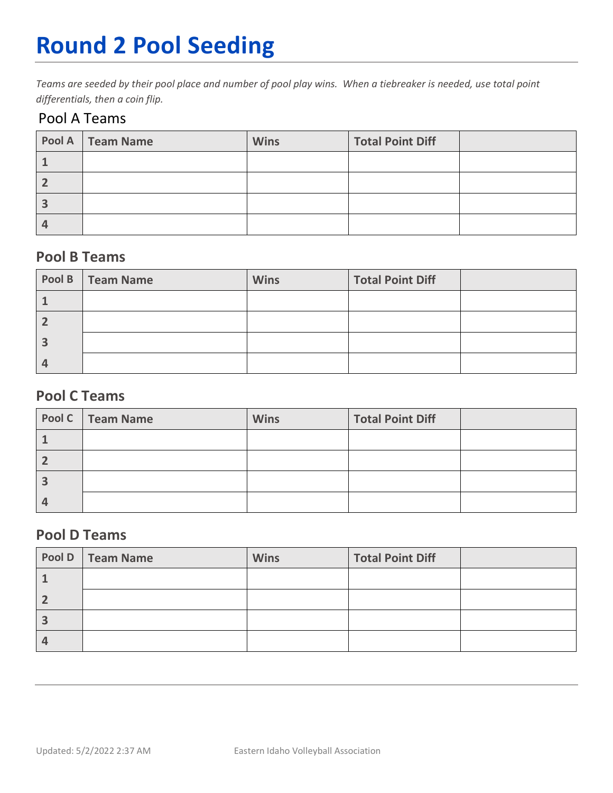# **Round 2 Pool Seeding**

*Teams are seeded by their pool place and number of pool play wins. When a tiebreaker is needed, use total point differentials, then a coin flip.* 

#### Pool A Teams

| Pool A   Team Name | <b>Wins</b> | <b>Total Point Diff</b> |  |
|--------------------|-------------|-------------------------|--|
|                    |             |                         |  |
|                    |             |                         |  |
|                    |             |                         |  |
|                    |             |                         |  |

#### **Pool B Teams**

| Pool B   Team Name | <b>Wins</b> | <b>Total Point Diff</b> |  |
|--------------------|-------------|-------------------------|--|
|                    |             |                         |  |
|                    |             |                         |  |
|                    |             |                         |  |
|                    |             |                         |  |

#### **Pool C Teams**

| Pool C   Team Name | <b>Wins</b> | <b>Total Point Diff</b> |  |
|--------------------|-------------|-------------------------|--|
|                    |             |                         |  |
|                    |             |                         |  |
|                    |             |                         |  |
|                    |             |                         |  |

#### **Pool D Teams**

| Pool D   Team Name | <b>Wins</b> | <b>Total Point Diff</b> |  |
|--------------------|-------------|-------------------------|--|
|                    |             |                         |  |
|                    |             |                         |  |
|                    |             |                         |  |
|                    |             |                         |  |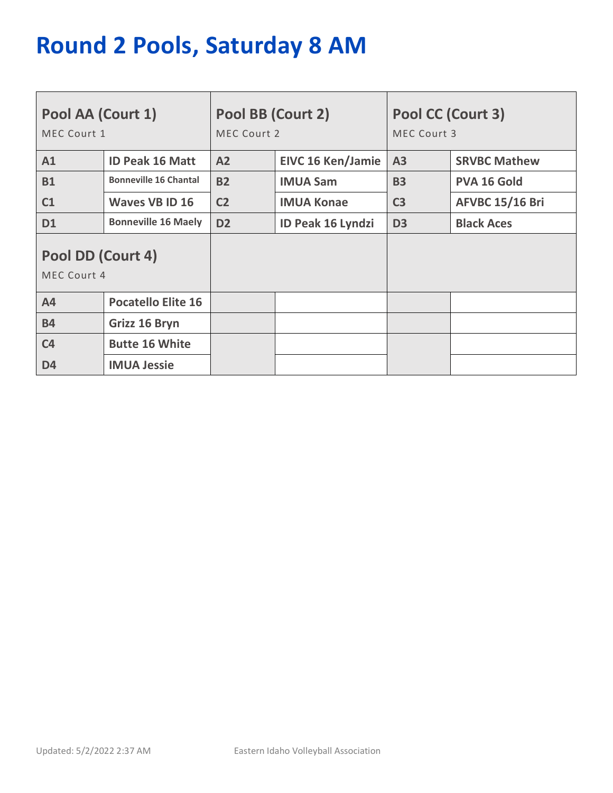# **Round 2 Pools, Saturday 8 AM**

| Pool AA (Court 1)<br>MEC Court 1 |                              | Pool BB (Court 2)<br>MEC Court 2 |                          | Pool CC (Court 3)<br>MEC Court 3 |                        |
|----------------------------------|------------------------------|----------------------------------|--------------------------|----------------------------------|------------------------|
| A1                               | <b>ID Peak 16 Matt</b>       | A2                               | <b>EIVC 16 Ken/Jamie</b> | A3                               | <b>SRVBC Mathew</b>    |
| <b>B1</b>                        | <b>Bonneville 16 Chantal</b> | <b>B2</b>                        | <b>IMUA Sam</b>          | <b>B3</b>                        | <b>PVA 16 Gold</b>     |
| C1                               | <b>Waves VB ID 16</b>        | C <sub>2</sub>                   | <b>IMUA Konae</b>        | C <sub>3</sub>                   | <b>AFVBC 15/16 Bri</b> |
| <b>D1</b>                        | <b>Bonneville 16 Maely</b>   | D <sub>2</sub>                   | <b>ID Peak 16 Lyndzi</b> | D <sub>3</sub>                   | <b>Black Aces</b>      |
| Pool DD (Court 4)<br>MEC Court 4 |                              |                                  |                          |                                  |                        |
| A <sub>4</sub>                   | <b>Pocatello Elite 16</b>    |                                  |                          |                                  |                        |
| <b>B4</b>                        | Grizz 16 Bryn                |                                  |                          |                                  |                        |
| C <sub>4</sub>                   | <b>Butte 16 White</b>        |                                  |                          |                                  |                        |
| D <sub>4</sub>                   | <b>IMUA Jessie</b>           |                                  |                          |                                  |                        |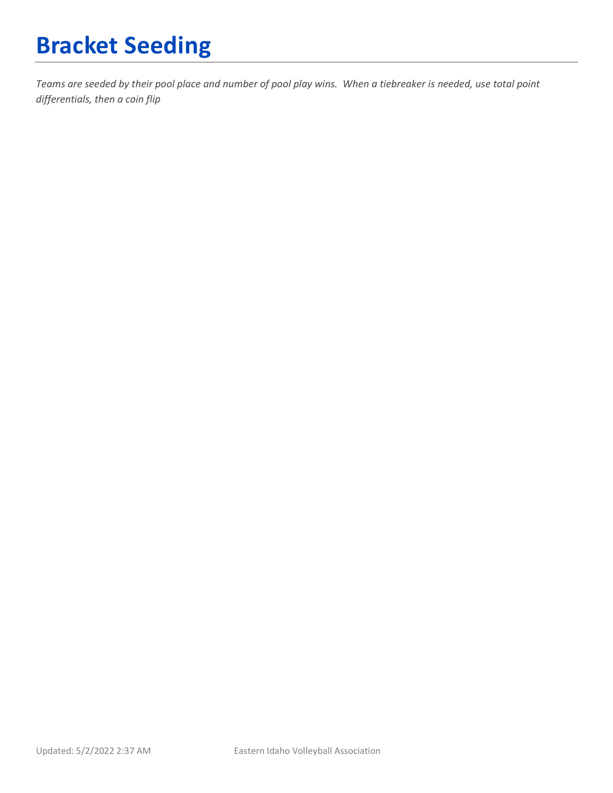# **Bracket Seeding**

*Teams are seeded by their pool place and number of pool play wins. When a tiebreaker is needed, use total point differentials, then a coin flip*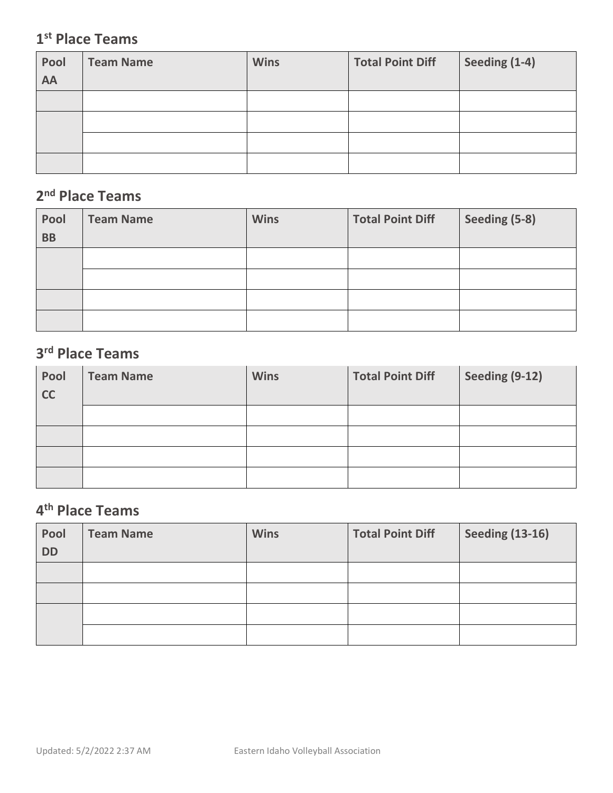### **1st Place Teams**

| Pool<br>AA | <b>Team Name</b> | <b>Wins</b> | <b>Total Point Diff</b> | Seeding (1-4) |
|------------|------------------|-------------|-------------------------|---------------|
|            |                  |             |                         |               |
|            |                  |             |                         |               |
|            |                  |             |                         |               |
|            |                  |             |                         |               |

### **2nd Place Teams**

| Pool<br><b>BB</b> | <b>Team Name</b> | <b>Wins</b> | <b>Total Point Diff</b> | Seeding (5-8) |
|-------------------|------------------|-------------|-------------------------|---------------|
|                   |                  |             |                         |               |
|                   |                  |             |                         |               |
|                   |                  |             |                         |               |
|                   |                  |             |                         |               |

### **3rd Place Teams**

| Pool<br>cc | <b>Team Name</b> | <b>Wins</b> | <b>Total Point Diff</b> | Seeding (9-12) |
|------------|------------------|-------------|-------------------------|----------------|
|            |                  |             |                         |                |
|            |                  |             |                         |                |
|            |                  |             |                         |                |
|            |                  |             |                         |                |

## **4th Place Teams**

| Pool<br><b>DD</b> | <b>Team Name</b> | <b>Wins</b> | <b>Total Point Diff</b> | <b>Seeding (13-16)</b> |
|-------------------|------------------|-------------|-------------------------|------------------------|
|                   |                  |             |                         |                        |
|                   |                  |             |                         |                        |
|                   |                  |             |                         |                        |
|                   |                  |             |                         |                        |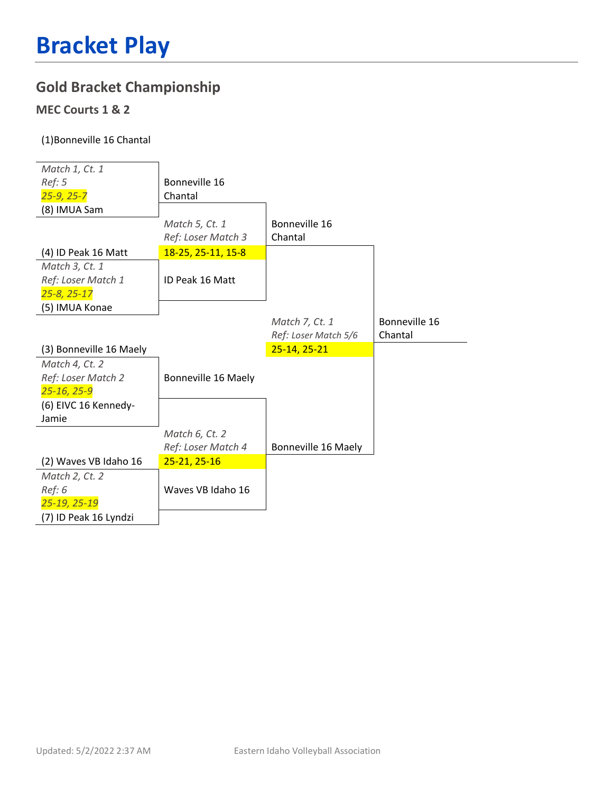### **Gold Bracket Championship**

#### **MEC Courts 1 & 2**

#### (1)Bonneville 16 Chantal

| Match 1, Ct. 1          |                     |                      |               |
|-------------------------|---------------------|----------------------|---------------|
| Ref: 5                  | Bonneville 16       |                      |               |
| $25 - 9, 25 - 7$        | Chantal             |                      |               |
| (8) IMUA Sam            |                     |                      |               |
|                         | Match 5, Ct. 1      | Bonneville 16        |               |
|                         | Ref: Loser Match 3  | Chantal              |               |
| (4) ID Peak 16 Matt     | 18-25, 25-11, 15-8  |                      |               |
| Match 3, Ct. 1          |                     |                      |               |
| Ref: Loser Match 1      | ID Peak 16 Matt     |                      |               |
| $25 - 8, 25 - 17$       |                     |                      |               |
| (5) IMUA Konae          |                     |                      |               |
|                         |                     | Match 7, Ct. 1       | Bonneville 16 |
|                         |                     | Ref: Loser Match 5/6 | Chantal       |
|                         |                     |                      |               |
| (3) Bonneville 16 Maely |                     | $25-14, 25-21$       |               |
| Match 4, Ct. 2          |                     |                      |               |
| Ref: Loser Match 2      | Bonneville 16 Maely |                      |               |
| 25-16, 25-9             |                     |                      |               |
| (6) EIVC 16 Kennedy-    |                     |                      |               |
| Jamie                   |                     |                      |               |
|                         | Match 6, Ct. 2      |                      |               |
|                         | Ref: Loser Match 4  | Bonneville 16 Maely  |               |
| (2) Waves VB Idaho 16   | 25-21, 25-16        |                      |               |
| Match 2, Ct. 2          |                     |                      |               |
| Ref: 6                  | Waves VB Idaho 16   |                      |               |
| 25-19, 25-19            |                     |                      |               |